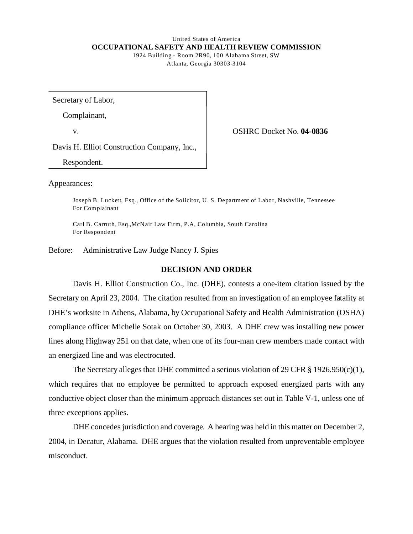#### United States of America **OCCUPATIONAL SAFETY AND HEALTH REVIEW COMMISSION**  1924 Building - Room 2R90, 100 Alabama Street, SW

Atlanta, Georgia 30303-3104

Secretary of Labor,

Complainant,

v. OSHRC Docket No. **04-0836** 

Davis H. Elliot Construction Company, Inc.,

Respondent.

Appearances:

Joseph B. Luckett, Esq., Office of the Solicitor, U.S. Department of Labor, Nashville, Tennessee For Complainant

Carl B. Carruth, Esq.,McN air Law Firm, P.A, Columbia, South Carolina For Respondent

Before: Administrative Law Judge Nancy J. Spies

## **DECISION AND ORDER**

Davis H. Elliot Construction Co., Inc. (DHE), contests a one-item citation issued by the Secretary on April 23, 2004. The citation resulted from an investigation of an employee fatality at DHE's worksite in Athens, Alabama, by Occupational Safety and Health Administration (OSHA) compliance officer Michelle Sotak on October 30, 2003. A DHE crew was installing new power lines along Highway 251 on that date, when one of its four-man crew members made contact with an energized line and was electrocuted.

The Secretary alleges that DHE committed a serious violation of 29 CFR  $\S$  1926.950(c)(1), which requires that no employee be permitted to approach exposed energized parts with any conductive object closer than the minimum approach distances set out in Table V-1, unless one of three exceptions applies.

DHE concedes jurisdiction and coverage. A hearing was held in this matter on December 2, 2004, in Decatur, Alabama. DHE argues that the violation resulted from unpreventable employee misconduct.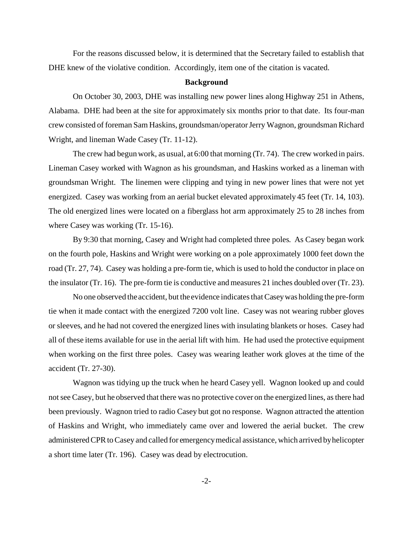For the reasons discussed below, it is determined that the Secretary failed to establish that DHE knew of the violative condition. Accordingly, item one of the citation is vacated.

#### **Background**

On October 30, 2003, DHE was installing new power lines along Highway 251 in Athens, Alabama. DHE had been at the site for approximately six months prior to that date. Its four-man crew consisted of foreman Sam Haskins, groundsman/operator Jerry Wagnon, groundsman Richard Wright, and lineman Wade Casey (Tr. 11-12).

The crew had begun work, as usual, at 6:00 that morning (Tr. 74). The crew worked in pairs. Lineman Casey worked with Wagnon as his groundsman, and Haskins worked as a lineman with groundsman Wright. The linemen were clipping and tying in new power lines that were not yet energized. Casey was working from an aerial bucket elevated approximately 45 feet (Tr. 14, 103). The old energized lines were located on a fiberglass hot arm approximately 25 to 28 inches from where Casey was working (Tr. 15-16).

By 9:30 that morning, Casey and Wright had completed three poles. As Casey began work on the fourth pole, Haskins and Wright were working on a pole approximately 1000 feet down the road (Tr. 27, 74). Casey was holding a pre-form tie, which is used to hold the conductor in place on the insulator (Tr. 16). The pre-form tie is conductive and measures 21 inches doubled over (Tr. 23).

No one observed the accident, but the evidence indicates that Casey was holding the pre-form tie when it made contact with the energized 7200 volt line. Casey was not wearing rubber gloves or sleeves, and he had not covered the energized lines with insulating blankets or hoses. Casey had all of these items available for use in the aerial lift with him. He had used the protective equipment when working on the first three poles. Casey was wearing leather work gloves at the time of the accident (Tr. 27-30).

Wagnon was tidying up the truck when he heard Casey yell. Wagnon looked up and could not see Casey, but he observed that there was no protective cover on the energized lines, as there had been previously. Wagnon tried to radio Casey but got no response. Wagnon attracted the attention of Haskins and Wright, who immediately came over and lowered the aerial bucket. The crew administered CPR to Casey and called for emergency medical assistance, which arrived by helicopter a short time later (Tr. 196). Casey was dead by electrocution.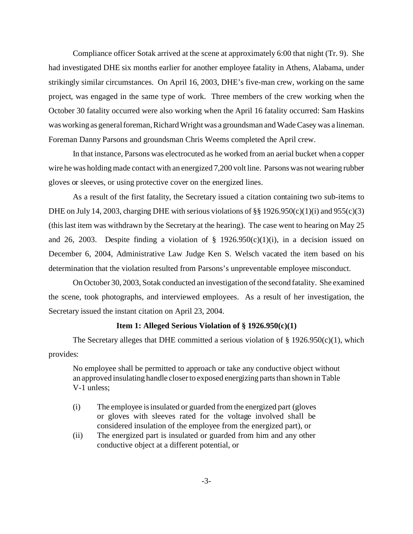Compliance officer Sotak arrived at the scene at approximately 6:00 that night (Tr. 9). She had investigated DHE six months earlier for another employee fatality in Athens, Alabama, under strikingly similar circumstances. On April 16, 2003, DHE's five-man crew, working on the same project, was engaged in the same type of work. Three members of the crew working when the October 30 fatality occurred were also working when the April 16 fatality occurred: Sam Haskins was working as general foreman, Richard Wright was a groundsman and Wade Casey was a lineman. Foreman Danny Parsons and groundsman Chris Weems completed the April crew.

In that instance, Parsons was electrocuted as he worked from an aerial bucket when a copper wire he was holding made contact with an energized 7,200 volt line. Parsons was not wearing rubber gloves or sleeves, or using protective cover on the energized lines.

As a result of the first fatality, the Secretary issued a citation containing two sub-items to DHE on July 14, 2003, charging DHE with serious violations of  $\S § 1926.950(c)(1)(i)$  and  $955(c)(3)$ (this last item was withdrawn by the Secretary at the hearing). The case went to hearing on May 25 and 26, 2003. Despite finding a violation of  $\S$  1926.950(c)(1)(i), in a decision issued on December 6, 2004, Administrative Law Judge Ken S. Welsch vacated the item based on his determination that the violation resulted from Parsons's unpreventable employee misconduct.

On October 30, 2003, Sotak conducted an investigation of the second fatality. She examined the scene, took photographs, and interviewed employees. As a result of her investigation, the Secretary issued the instant citation on April 23, 2004.

#### **Item 1: Alleged Serious Violation of § 1926.950(c)(1)**

The Secretary alleges that DHE committed a serious violation of  $\S$  1926.950(c)(1), which provides:

No employee shall be permitted to approach or take any conductive object without an approved insulating handle closer to exposed energizing parts than shown in Table V-1 unless;

- (i) The employee is insulated or guarded from the energized part (gloves or gloves with sleeves rated for the voltage involved shall be considered insulation of the employee from the energized part), or
- (ii) The energized part is insulated or guarded from him and any other conductive object at a different potential, or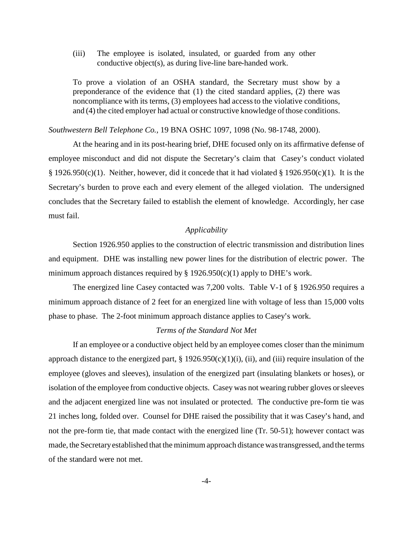(iii) The employee is isolated, insulated, or guarded from any other conductive object(s), as during live-line bare-handed work.

To prove a violation of an OSHA standard, the Secretary must show by a preponderance of the evidence that (1) the cited standard applies, (2) there was noncompliance with its terms, (3) employees had access to the violative conditions, and (4) the cited employer had actual or constructive knowledge of those conditions.

#### *Southwestern Bell Telephone Co.,* 19 BNA OSHC 1097, 1098 (No. 98-1748, 2000).

At the hearing and in its post-hearing brief, DHE focused only on its affirmative defense of employee misconduct and did not dispute the Secretary's claim that Casey's conduct violated § 1926.950(c)(1). Neither, however, did it concede that it had violated § 1926.950(c)(1). It is the Secretary's burden to prove each and every element of the alleged violation. The undersigned concludes that the Secretary failed to establish the element of knowledge. Accordingly, her case must fail.

## *Applicability*

Section 1926.950 applies to the construction of electric transmission and distribution lines and equipment. DHE was installing new power lines for the distribution of electric power. The minimum approach distances required by  $\S$  1926.950(c)(1) apply to DHE's work.

The energized line Casey contacted was 7,200 volts. Table V-1 of § 1926.950 requires a minimum approach distance of 2 feet for an energized line with voltage of less than 15,000 volts phase to phase. The 2-foot minimum approach distance applies to Casey's work.

#### *Terms of the Standard Not Met*

If an employee or a conductive object held by an employee comes closer than the minimum approach distance to the energized part,  $\S 1926.950(c)(1)(i)$ , (ii), and (iii) require insulation of the employee (gloves and sleeves), insulation of the energized part (insulating blankets or hoses), or isolation of the employee from conductive objects. Casey was not wearing rubber gloves or sleeves and the adjacent energized line was not insulated or protected. The conductive pre-form tie was 21 inches long, folded over. Counsel for DHE raised the possibility that it was Casey's hand, and not the pre-form tie, that made contact with the energized line (Tr. 50-51); however contact was made, the Secretary established that the minimum approach distance was transgressed, and the terms of the standard were not met.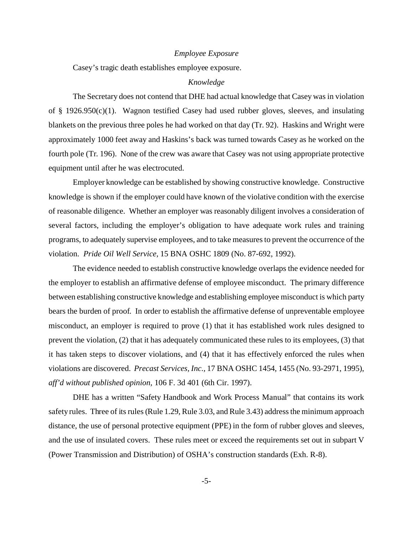#### *Employee Exposure*

Casey's tragic death establishes employee exposure.

### *Knowledge*

The Secretary does not contend that DHE had actual knowledge that Casey was in violation of § 1926.950(c)(1). Wagnon testified Casey had used rubber gloves, sleeves, and insulating blankets on the previous three poles he had worked on that day (Tr. 92). Haskins and Wright were approximately 1000 feet away and Haskins's back was turned towards Casey as he worked on the fourth pole (Tr. 196). None of the crew was aware that Casey was not using appropriate protective equipment until after he was electrocuted.

Employer knowledge can be established by showing constructive knowledge. Constructive knowledge is shown if the employer could have known of the violative condition with the exercise of reasonable diligence. Whether an employer was reasonably diligent involves a consideration of several factors, including the employer's obligation to have adequate work rules and training programs, to adequately supervise employees, and to take measures to prevent the occurrence of the violation. *Pride Oil Well Service,* 15 BNA OSHC 1809 (No. 87-692, 1992).

The evidence needed to establish constructive knowledge overlaps the evidence needed for the employer to establish an affirmative defense of employee misconduct. The primary difference between establishing constructive knowledge and establishing employee misconduct is which party bears the burden of proof. In order to establish the affirmative defense of unpreventable employee misconduct, an employer is required to prove (1) that it has established work rules designed to prevent the violation, (2) that it has adequately communicated these rules to its employees, (3) that it has taken steps to discover violations, and (4) that it has effectively enforced the rules when violations are discovered. *Precast Services, Inc.,* 17 BNA OSHC 1454, 1455 (No. 93-2971, 1995), *aff'd without published opinion,* 106 F. 3d 401 (6th Cir. 1997).

DHE has a written "Safety Handbook and Work Process Manual" that contains its work safety rules. Three of its rules (Rule 1.29, Rule 3.03, and Rule 3.43) address the minimum approach distance, the use of personal protective equipment (PPE) in the form of rubber gloves and sleeves, and the use of insulated covers. These rules meet or exceed the requirements set out in subpart V (Power Transmission and Distribution) of OSHA's construction standards (Exh. R-8).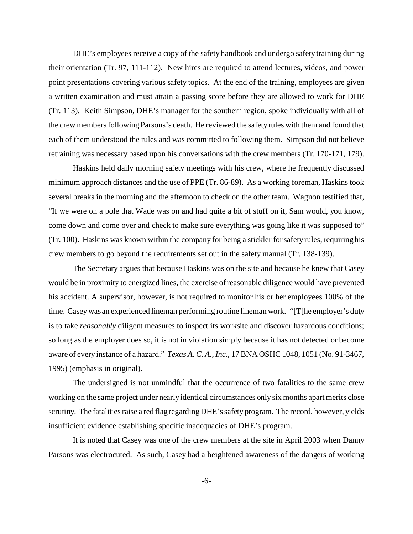DHE's employees receive a copy of the safety handbook and undergo safety training during their orientation (Tr. 97, 111-112). New hires are required to attend lectures, videos, and power point presentations covering various safety topics. At the end of the training, employees are given a written examination and must attain a passing score before they are allowed to work for DHE (Tr. 113). Keith Simpson, DHE's manager for the southern region, spoke individually with all of the crew members following Parsons's death. He reviewed the safety rules with them and found that each of them understood the rules and was committed to following them. Simpson did not believe retraining was necessary based upon his conversations with the crew members (Tr. 170-171, 179).

Haskins held daily morning safety meetings with his crew, where he frequently discussed minimum approach distances and the use of PPE (Tr. 86-89). As a working foreman, Haskins took several breaks in the morning and the afternoon to check on the other team. Wagnon testified that, "If we were on a pole that Wade was on and had quite a bit of stuff on it, Sam would, you know, come down and come over and check to make sure everything was going like it was supposed to" (Tr. 100). Haskins was known within the company for being a stickler for safety rules, requiring his crew members to go beyond the requirements set out in the safety manual (Tr. 138-139).

The Secretary argues that because Haskins was on the site and because he knew that Casey would be in proximity to energized lines, the exercise of reasonable diligence would have prevented his accident. A supervisor, however, is not required to monitor his or her employees 100% of the time. Casey was an experienced lineman performing routine lineman work. "[T[he employer's duty is to take *reasonably* diligent measures to inspect its worksite and discover hazardous conditions; so long as the employer does so, it is not in violation simply because it has not detected or become aware of every instance of a hazard." *Texas A. C. A., Inc.,* 17 BNA OSHC 1048, 1051 (No. 91-3467, 1995) (emphasis in original).

The undersigned is not unmindful that the occurrence of two fatalities to the same crew working on the same project under nearly identical circumstances only six months apart merits close scrutiny. The fatalities raise a red flag regarding DHE's safety program. The record, however, yields insufficient evidence establishing specific inadequacies of DHE's program.

It is noted that Casey was one of the crew members at the site in April 2003 when Danny Parsons was electrocuted. As such, Casey had a heightened awareness of the dangers of working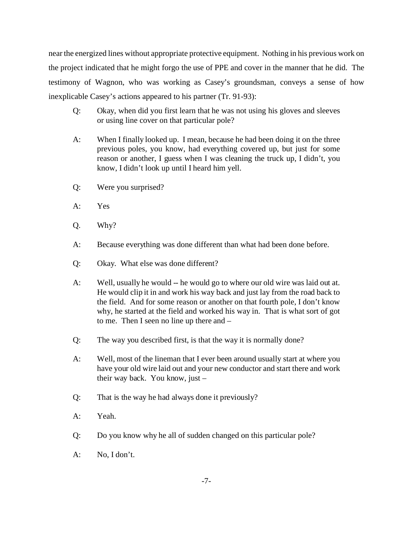near the energized lines without appropriate protective equipment. Nothing in his previous work on the project indicated that he might forgo the use of PPE and cover in the manner that he did. The testimony of Wagnon, who was working as Casey's groundsman, conveys a sense of how inexplicable Casey's actions appeared to his partner (Tr. 91-93):

- Q: Okay, when did you first learn that he was not using his gloves and sleeves or using line cover on that particular pole?
- A: When I finally looked up. I mean, because he had been doing it on the three previous poles, you know, had everything covered up, but just for some reason or another, I guess when I was cleaning the truck up, I didn't, you know, I didn't look up until I heard him yell.
- Q: Were you surprised?
- A: Yes
- Q. Why?
- A: Because everything was done different than what had been done before.
- Q: Okay. What else was done different?
- A: Well, usually he would -- he would go to where our old wire was laid out at. He would clip it in and work his way back and just lay from the road back to the field. And for some reason or another on that fourth pole, I don't know why, he started at the field and worked his way in. That is what sort of got to me. Then I seen no line up there and –
- Q: The way you described first, is that the way it is normally done?
- A: Well, most of the lineman that I ever been around usually start at where you have your old wire laid out and your new conductor and start there and work their way back. You know, just –
- Q: That is the way he had always done it previously?
- A: Yeah.
- Q: Do you know why he all of sudden changed on this particular pole?
- A: No, I don't.